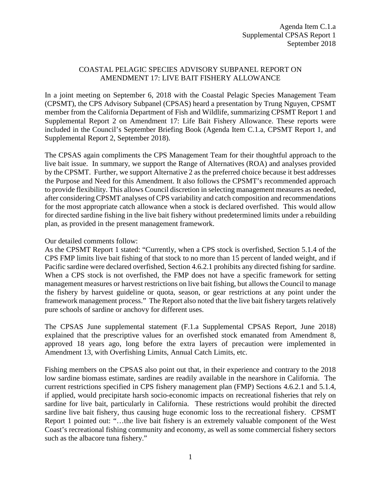## COASTAL PELAGIC SPECIES ADVISORY SUBPANEL REPORT ON AMENDMENT 17: LIVE BAIT FISHERY ALLOWANCE

In a joint meeting on September 6, 2018 with the Coastal Pelagic Species Management Team (CPSMT), the CPS Advisory Subpanel (CPSAS) heard a presentation by Trung Nguyen, CPSMT member from the California Department of Fish and Wildlife, summarizing CPSMT Report 1 and Supplemental Report 2 on Amendment 17: Life Bait Fishery Allowance. These reports were included in the Council's September Briefing Book (Agenda Item C.1.a, CPSMT Report 1, and Supplemental Report 2, September 2018).

The CPSAS again compliments the CPS Management Team for their thoughtful approach to the live bait issue. In summary, we support the Range of Alternatives (ROA) and analyses provided by the CPSMT. Further, we support Alternative 2 as the preferred choice because it best addresses the Purpose and Need for this Amendment. It also follows the CPSMT's recommended approach to provide flexibility. This allows Council discretion in selecting management measures as needed, after considering CPSMT analyses of CPS variability and catch composition and recommendations for the most appropriate catch allowance when a stock is declared overfished. This would allow for directed sardine fishing in the live bait fishery without predetermined limits under a rebuilding plan, as provided in the present management framework.

## Our detailed comments follow:

As the CPSMT Report 1 stated: "Currently, when a CPS stock is overfished, Section 5.1.4 of the CPS FMP limits live bait fishing of that stock to no more than 15 percent of landed weight, and if Pacific sardine were declared overfished, Section 4.6.2.1 prohibits any directed fishing for sardine. When a CPS stock is not overfished, the FMP does not have a specific framework for setting management measures or harvest restrictions on live bait fishing, but allows the Council to manage the fishery by harvest guideline or quota, season, or gear restrictions at any point under the framework management process." The Report also noted that the live bait fishery targets relatively pure schools of sardine or anchovy for different uses.

The CPSAS June supplemental statement (F.1.a Supplemental CPSAS Report, June 2018) explained that the prescriptive values for an overfished stock emanated from Amendment 8, approved 18 years ago, long before the extra layers of precaution were implemented in Amendment 13, with Overfishing Limits, Annual Catch Limits, etc.

Fishing members on the CPSAS also point out that, in their experience and contrary to the 2018 low sardine biomass estimate, sardines are readily available in the nearshore in California. The current restrictions specified in CPS fishery management plan (FMP) Sections 4.6.2.1 and 5.1.4, if applied, would precipitate harsh socio-economic impacts on recreational fisheries that rely on sardine for live bait, particularly in California. These restrictions would prohibit the directed sardine live bait fishery, thus causing huge economic loss to the recreational fishery. CPSMT Report 1 pointed out: "…the live bait fishery is an extremely valuable component of the West Coast's recreational fishing community and economy, as well as some commercial fishery sectors such as the albacore tuna fishery."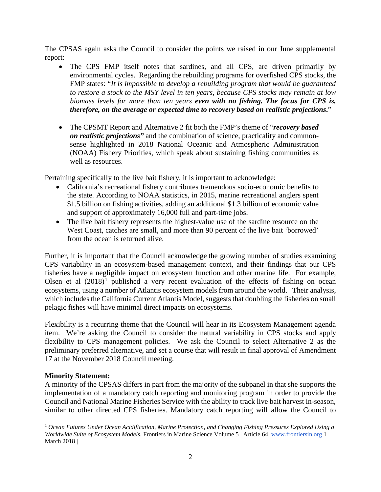The CPSAS again asks the Council to consider the points we raised in our June supplemental report:

- The CPS FMP itself notes that sardines, and all CPS, are driven primarily by environmental cycles. Regarding the rebuilding programs for overfished CPS stocks, the FMP states: "*It is impossible to develop a rebuilding program that would be guaranteed to restore a stock to the MSY level in ten years, because CPS stocks may remain at low biomass levels for more than ten years even with no fishing. The focus for CPS is, therefore, on the average or expected time to recovery based on realistic projections***.**"
- The CPSMT Report and Alternative 2 fit both the FMP's theme of "*recovery based on realistic projections"* and the combination of science, practicality and commonsense highlighted in 2018 National Oceanic and Atmospheric Administration (NOAA) Fishery Priorities, which speak about sustaining fishing communities as well as resources.

Pertaining specifically to the live bait fishery, it is important to acknowledge:

- California's recreational fishery contributes tremendous socio-economic benefits to the state. According to NOAA statistics, in 2015, marine recreational anglers spent \$1.5 billion on fishing activities, adding an additional \$1.3 billion of economic value and support of approximately 16,000 full and part-time jobs.
- The live bait fishery represents the highest-value use of the sardine resource on the West Coast, catches are small, and more than 90 percent of the live bait 'borrowed' from the ocean is returned alive.

Further, it is important that the Council acknowledge the growing number of studies examining CPS variability in an ecosystem-based management context, and their findings that our CPS fisheries have a negligible impact on ecosystem function and other marine life. For example, Olsen et al  $(2018)^1$  $(2018)^1$  $(2018)^1$  published a very recent evaluation of the effects of fishing on ocean ecosystems, using a number of Atlantis ecosystem models from around the world. Their analysis, which includes the California Current Atlantis Model, suggests that doubling the fisheries on small pelagic fishes will have minimal direct impacts on ecosystems.

Flexibility is a recurring theme that the Council will hear in its Ecosystem Management agenda item. We're asking the Council to consider the natural variability in CPS stocks and apply flexibility to CPS management policies. We ask the Council to select Alternative 2 as the preliminary preferred alternative, and set a course that will result in final approval of Amendment 17 at the November 2018 Council meeting.

## **Minority Statement:**

A minority of the CPSAS differs in part from the majority of the subpanel in that she supports the implementation of a mandatory catch reporting and monitoring program in order to provide the Council and National Marine Fisheries Service with the ability to track live bait harvest in-season, similar to other directed CPS fisheries. Mandatory catch reporting will allow the Council to

<span id="page-1-0"></span> <sup>1</sup> *Ocean Futures Under Ocean Acidification, Marine Protection, and Changing Fishing Pressures Explored Using a Worldwide Suite of Ecosystem Models*. Frontiers in Marine Science Volume 5 | Article 64 [www.frontiersin.org](http://www.frontiersin.org/) 1 March 2018 |